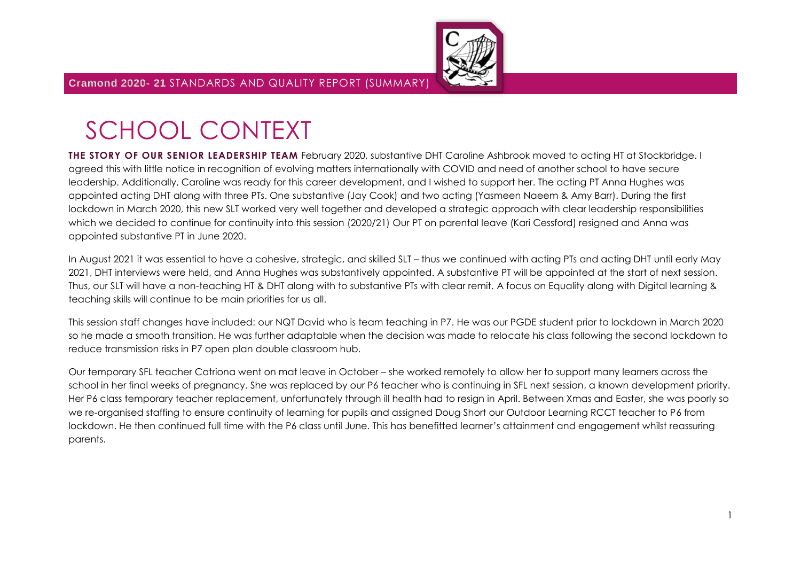

# SCHOOL CONTEXT

**THE STORY OF OUR SENIOR LEADERSHIP TEAM** February 2020, substantive DHT Caroline Ashbrook moved to acting HT at Stockbridge. I agreed this with little notice in recognition of evolving matters internationally with COVID and need of another school to have secure leadership. Additionally, Caroline was ready for this career development, and I wished to support her. The acting PT Anna Hughes was appointed acting DHT along with three PTs. One substantive (Jay Cook) and two acting (Yasmeen Naeem & Amy Barr). During the first lockdown in March 2020, this new SLT worked very well together and developed a strategic approach with clear leadership responsibilities which we decided to continue for continuity into this session (2020/21) Our PT on parental leave (Kari Cessford) resigned and Anna was appointed substantive PT in June 2020.

In August 2021 it was essential to have a cohesive, strategic, and skilled SLT – thus we continued with acting PTs and acting DHT until early May 2021, DHT interviews were held, and Anna Hughes was substantively appointed. A substantive PT will be appointed at the start of next session. Thus, our SLT will have a non-teaching HT & DHT along with to substantive PTs with clear remit. A focus on Equality along with Digital learning & teaching skills will continue to be main priorities for us all.

This session staff changes have included: our NQT David who is team teaching in P7. He was our PGDE student prior to lockdown in March 2020 so he made a smooth transition. He was further adaptable when the decision was made to relocate his class following the second lockdown to reduce transmission risks in P7 open plan double classroom hub.

Our temporary SFL teacher Catriona went on mat leave in October – she worked remotely to allow her to support many learners across the school in her final weeks of pregnancy. She was replaced by our P6 teacher who is continuing in SFL next session, a known development priority. Her P6 class temporary teacher replacement, unfortunately through ill health had to resign in April. Between Xmas and Easter, she was poorly so we re-organised staffing to ensure continuity of learning for pupils and assigned Doug Short our Outdoor Learning RCCT teacher to P6 from lockdown. He then continued full time with the P6 class until June. This has benefitted learner's attainment and engagement whilst reassuring parents.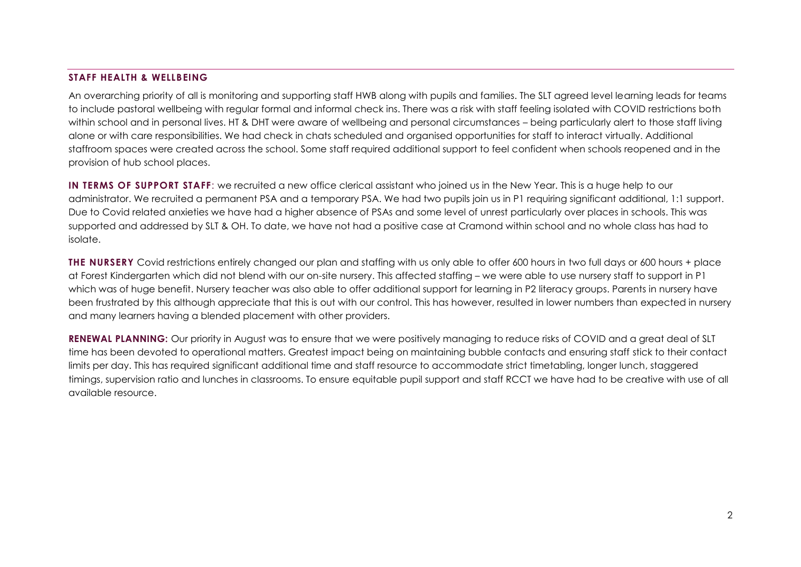#### **STAFF HEALTH & WELLBEING**

An overarching priority of all is monitoring and supporting staff HWB along with pupils and families. The SLT agreed level learning leads for teams to include pastoral wellbeing with regular formal and informal check ins. There was a risk with staff feeling isolated with COVID restrictions both within school and in personal lives. HT & DHT were aware of wellbeing and personal circumstances – being particularly alert to those staff living alone or with care responsibilities. We had check in chats scheduled and organised opportunities for staff to interact virtually. Additional staffroom spaces were created across the school. Some staff required additional support to feel confident when schools reopened and in the provision of hub school places.

**IN TERMS OF SUPPORT STAFF**: we recruited a new office clerical assistant who joined us in the New Year. This is a huge help to our administrator. We recruited a permanent PSA and a temporary PSA. We had two pupils join us in P1 requiring significant additional, 1:1 support. Due to Covid related anxieties we have had a higher absence of PSAs and some level of unrest particularly over places in schools. This was supported and addressed by SLT & OH. To date, we have not had a positive case at Cramond within school and no whole class has had to isolate.

**THE NURSERY** Covid restrictions entirely changed our plan and staffing with us only able to offer 600 hours in two full days or 600 hours + place at Forest Kindergarten which did not blend with our on-site nursery. This affected staffing – we were able to use nursery staff to support in P1 which was of huge benefit. Nursery teacher was also able to offer additional support for learning in P2 literacy groups. Parents in nursery have been frustrated by this although appreciate that this is out with our control. This has however, resulted in lower numbers than expected in nursery and many learners having a blended placement with other providers.

**RENEWAL PLANNING:** Our priority in August was to ensure that we were positively managing to reduce risks of COVID and a great deal of SLT time has been devoted to operational matters. Greatest impact being on maintaining bubble contacts and ensuring staff stick to their contact limits per day. This has required significant additional time and staff resource to accommodate strict timetabling, longer lunch, staggered timings, supervision ratio and lunches in classrooms. To ensure equitable pupil support and staff RCCT we have had to be creative with use of all available resource.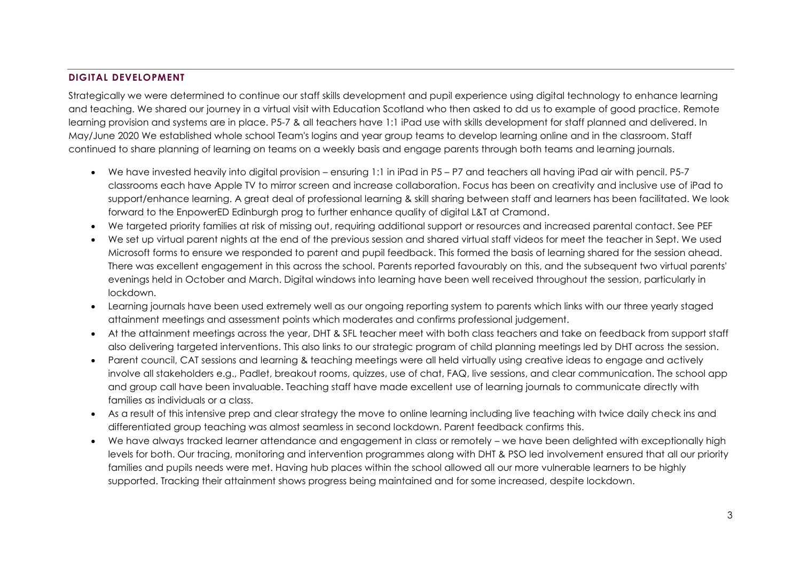#### **DIGITAL DEVELOPMENT**

Strategically we were determined to continue our staff skills development and pupil experience using digital technology to enhance learning and teaching. We shared our journey in a virtual visit with Education Scotland who then asked to dd us to example of good practice. Remote learning provision and systems are in place. P5-7 & all teachers have 1:1 iPad use with skills development for staff planned and delivered. In May/June 2020 We established whole school Team's logins and year group teams to develop learning online and in the classroom. Staff continued to share planning of learning on teams on a weekly basis and engage parents through both teams and learning journals.

- We have invested heavily into digital provision ensuring 1:1 in iPad in P5 P7 and teachers all having iPad air with pencil. P5-7 classrooms each have Apple TV to mirror screen and increase collaboration. Focus has been on creativity and inclusive use of iPad to support/enhance learning. A great deal of professional learning & skill sharing between staff and learners has been facilitated. We look forward to the EnpowerED Edinburgh prog to further enhance quality of digital L&T at Cramond.
- We targeted priority families at risk of missing out, requiring additional support or resources and increased parental contact. See PEF
- We set up virtual parent nights at the end of the previous session and shared virtual staff videos for meet the teacher in Sept. We used Microsoft forms to ensure we responded to parent and pupil feedback. This formed the basis of learning shared for the session ahead. There was excellent engagement in this across the school. Parents reported favourably on this, and the subsequent two virtual parents' evenings held in October and March. Digital windows into learning have been well received throughout the session, particularly in lockdown.
- Learning journals have been used extremely well as our ongoing reporting system to parents which links with our three yearly staged attainment meetings and assessment points which moderates and confirms professional judgement.
- At the attainment meetings across the year, DHT & SFL teacher meet with both class teachers and take on feedback from support staff also delivering targeted interventions. This also links to our strategic program of child planning meetings led by DHT across the session.
- Parent council, CAT sessions and learning & teaching meetings were all held virtually using creative ideas to engage and actively involve all stakeholders e.g., Padlet, breakout rooms, quizzes, use of chat, FAQ, live sessions, and clear communication. The school app and group call have been invaluable. Teaching staff have made excellent use of learning journals to communicate directly with families as individuals or a class.
- As a result of this intensive prep and clear strategy the move to online learning including live teaching with twice daily check ins and differentiated group teaching was almost seamless in second lockdown. Parent feedback confirms this.
- We have always tracked learner attendance and engagement in class or remotely we have been delighted with exceptionally high levels for both. Our tracing, monitoring and intervention programmes along with DHT & PSO led involvement ensured that all our priority families and pupils needs were met. Having hub places within the school allowed all our more vulnerable learners to be highly supported. Tracking their attainment shows progress being maintained and for some increased, despite lockdown.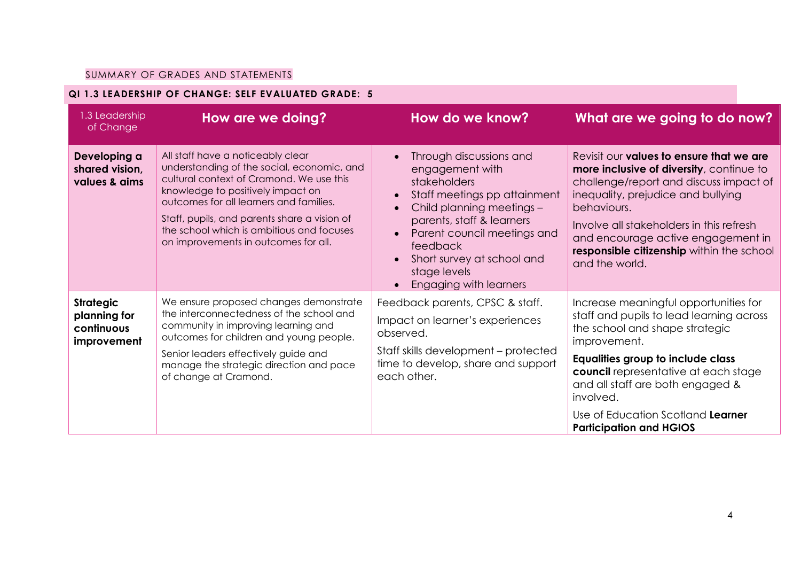## SUMMARY OF GRADES AND STATEMENTS

## **QI 1.3 LEADERSHIP OF CHANGE: SELF EVALUATED GRADE: 5**

| 1.3 Leadership<br>of Change                                   | <b>How are we doing?</b>                                                                                                                                                                                                                                                                                                                         | How do we know?                                                                                                                                                                                                                                                                                                                    | What are we going to do now?                                                                                                                                                                                                                                                                                                             |
|---------------------------------------------------------------|--------------------------------------------------------------------------------------------------------------------------------------------------------------------------------------------------------------------------------------------------------------------------------------------------------------------------------------------------|------------------------------------------------------------------------------------------------------------------------------------------------------------------------------------------------------------------------------------------------------------------------------------------------------------------------------------|------------------------------------------------------------------------------------------------------------------------------------------------------------------------------------------------------------------------------------------------------------------------------------------------------------------------------------------|
| Developing a<br>shared vision,<br>values & aims               | All staff have a noticeably clear<br>understanding of the social, economic, and<br>cultural context of Cramond. We use this<br>knowledge to positively impact on<br>outcomes for all learners and families.<br>Staff, pupils, and parents share a vision of<br>the school which is ambitious and focuses<br>on improvements in outcomes for all. | Through discussions and<br>$\bullet$<br>engagement with<br><i>stakeholders</i><br>Staff meetings pp attainment<br>$\bullet$<br>Child planning meetings -<br>$\bullet$<br>parents, staff & learners<br>Parent council meetings and<br>$\bullet$<br>feedback<br>Short survey at school and<br>stage levels<br>Engaging with learners | Revisit our values to ensure that we are<br>more inclusive of diversity, continue to<br>challenge/report and discuss impact of<br>inequality, prejudice and bullying<br>behaviours.<br>Involve all stakeholders in this refresh<br>and encourage active engagement in<br>responsible citizenship within the school<br>and the world.     |
| <b>Strategic</b><br>planning for<br>continuous<br>improvement | We ensure proposed changes demonstrate<br>the interconnectedness of the school and<br>community in improving learning and<br>outcomes for children and young people.<br>Senior leaders effectively guide and<br>manage the strategic direction and pace<br>of change at Cramond.                                                                 | Feedback parents, CPSC & staff.<br>Impact on learner's experiences<br>observed.<br>Staff skills development - protected<br>time to develop, share and support<br>each other.                                                                                                                                                       | Increase meaningful opportunities for<br>staff and pupils to lead learning across<br>the school and shape strategic<br>improvement.<br>Equalities group to include class<br>council representative at each stage<br>and all staff are both engaged &<br>involved.<br>Use of Education Scotland Learner<br><b>Participation and HGIOS</b> |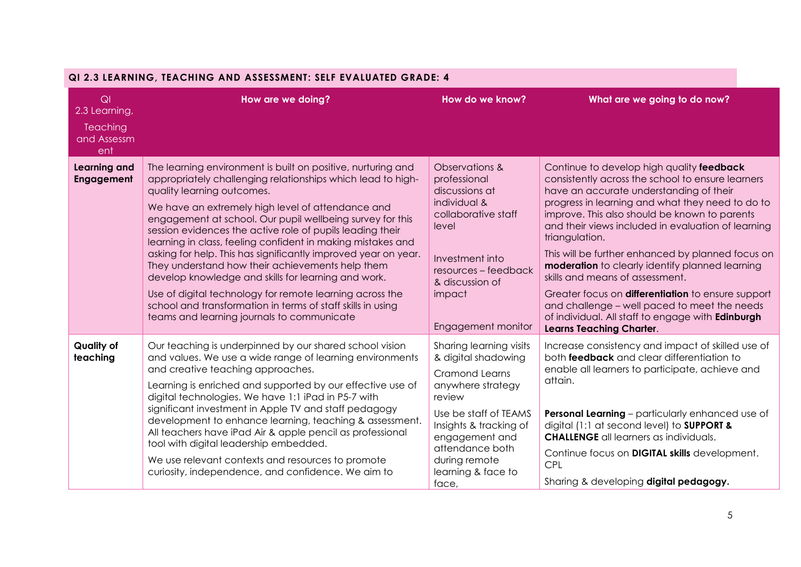|                                                              | QI 2.3 LEARNING, IEACHING AND ASSESSMENT. SELF EVALUATED GRADE. 4                                                                                                                                                                                                                                                                                                                                                                                                                                                                                                                                                                                                                                                                                             |                                                                                                                                                                                                                                                |                                                                                                                                                                                                                                                                                                                                                                                                                                                                                                                                                                                                                                                                        |
|--------------------------------------------------------------|---------------------------------------------------------------------------------------------------------------------------------------------------------------------------------------------------------------------------------------------------------------------------------------------------------------------------------------------------------------------------------------------------------------------------------------------------------------------------------------------------------------------------------------------------------------------------------------------------------------------------------------------------------------------------------------------------------------------------------------------------------------|------------------------------------------------------------------------------------------------------------------------------------------------------------------------------------------------------------------------------------------------|------------------------------------------------------------------------------------------------------------------------------------------------------------------------------------------------------------------------------------------------------------------------------------------------------------------------------------------------------------------------------------------------------------------------------------------------------------------------------------------------------------------------------------------------------------------------------------------------------------------------------------------------------------------------|
| QI<br>2.3 Learning,<br><b>Teaching</b><br>and Assessm<br>ent | How are we doing?                                                                                                                                                                                                                                                                                                                                                                                                                                                                                                                                                                                                                                                                                                                                             | How do we know?                                                                                                                                                                                                                                | What are we going to do now?                                                                                                                                                                                                                                                                                                                                                                                                                                                                                                                                                                                                                                           |
| <b>Learning and</b><br><b>Engagement</b>                     | The learning environment is built on positive, nurturing and<br>appropriately challenging relationships which lead to high-<br>quality learning outcomes.<br>We have an extremely high level of attendance and<br>engagement at school. Our pupil wellbeing survey for this<br>session evidences the active role of pupils leading their<br>learning in class, feeling confident in making mistakes and<br>asking for help. This has significantly improved year on year.<br>They understand how their achievements help them<br>develop knowledge and skills for learning and work.<br>Use of digital technology for remote learning across the<br>school and transformation in terms of staff skills in using<br>teams and learning journals to communicate | Observations &<br>professional<br>discussions at<br>individual &<br>collaborative staff<br>level<br>Investment into<br>resources - feedback<br>& discussion of<br>impact<br>Engagement monitor                                                 | Continue to develop high quality feedback<br>consistently across the school to ensure learners<br>have an accurate understanding of their<br>progress in learning and what they need to do to<br>improve. This also should be known to parents<br>and their views included in evaluation of learning<br>triangulation.<br>This will be further enhanced by planned focus on<br><b>moderation</b> to clearly identify planned learning<br>skills and means of assessment.<br>Greater focus on differentiation to ensure support<br>and challenge – well paced to meet the needs<br>of individual. All staff to engage with Edinburgh<br><b>Learns Teaching Charter.</b> |
| <b>Quality of</b><br>teaching                                | Our teaching is underpinned by our shared school vision<br>and values. We use a wide range of learning environments<br>and creative teaching approaches.<br>Learning is enriched and supported by our effective use of<br>digital technologies. We have 1:1 iPad in P5-7 with<br>significant investment in Apple TV and staff pedagogy<br>development to enhance learning, teaching & assessment.<br>All teachers have iPad Air & apple pencil as professional<br>tool with digital leadership embedded.<br>We use relevant contexts and resources to promote<br>curiosity, independence, and confidence. We aim to                                                                                                                                           | Sharing learning visits<br>& digital shadowing<br><b>Cramond Learns</b><br>anywhere strategy<br>review<br>Use be staff of TEAMS<br>Insights & tracking of<br>engagement and<br>attendance both<br>during remote<br>learning & face to<br>face, | Increase consistency and impact of skilled use of<br>both feedback and clear differentiation to<br>enable all learners to participate, achieve and<br>attain.<br>Personal Learning - particularly enhanced use of<br>digital (1:1 at second level) to <b>SUPPORT &amp;</b><br><b>CHALLENGE</b> all learners as individuals.<br>Continue focus on <b>DIGITAL skills</b> development.<br><b>CPL</b><br>Sharing & developing digital pedagogy.                                                                                                                                                                                                                            |

# **QI 2.3 LEARNING, TEACHING AND ASSESSMENT: SELF EVALUATED GRADE: 4**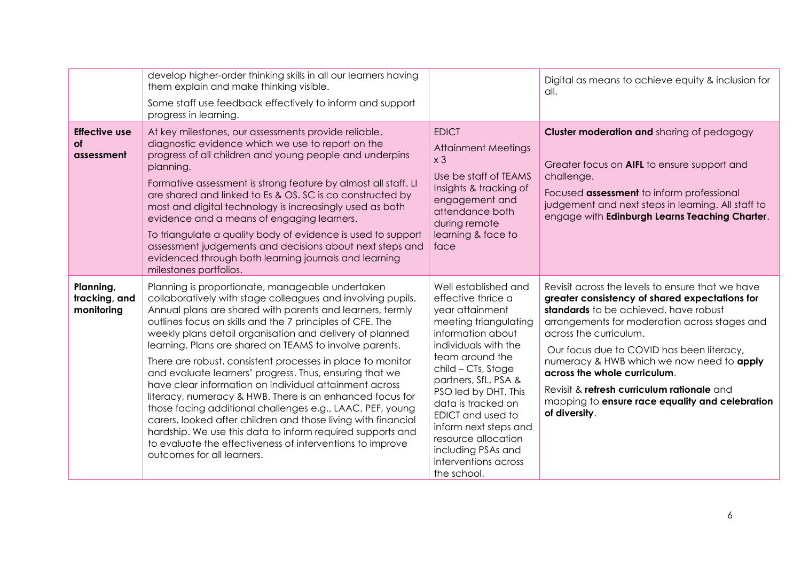|                                                 | develop higher-order thinking skills in all our learners having<br>them explain and make thinking visible.<br>Some staff use feedback effectively to inform and support<br>progress in learning.                                                                                                                                                                                                                                                                                                                                                                                                                                                                                                                                                                                                                                                                                                       |                                                                                                                                                                                                                                                                                                                                                                                             | Digital as means to achieve equity & inclusion for<br>all.                                                                                                                                                                                                                                                                                                                                                                                                         |
|-------------------------------------------------|--------------------------------------------------------------------------------------------------------------------------------------------------------------------------------------------------------------------------------------------------------------------------------------------------------------------------------------------------------------------------------------------------------------------------------------------------------------------------------------------------------------------------------------------------------------------------------------------------------------------------------------------------------------------------------------------------------------------------------------------------------------------------------------------------------------------------------------------------------------------------------------------------------|---------------------------------------------------------------------------------------------------------------------------------------------------------------------------------------------------------------------------------------------------------------------------------------------------------------------------------------------------------------------------------------------|--------------------------------------------------------------------------------------------------------------------------------------------------------------------------------------------------------------------------------------------------------------------------------------------------------------------------------------------------------------------------------------------------------------------------------------------------------------------|
| <b>Effective use</b><br><b>of</b><br>assessment | At key milestones, our assessments provide reliable,<br>diagnostic evidence which we use to report on the<br>progress of all children and young people and underpins<br>planning.<br>Formative assessment is strong feature by almost all staff. LI<br>are shared and linked to Es & OS. SC is co constructed by<br>most and digital technology is increasingly used as both<br>evidence and a means of engaging learners.<br>To triangulate a quality body of evidence is used to support<br>assessment judgements and decisions about next steps and<br>evidenced through both learning journals and learning<br>milestones portfolios.                                                                                                                                                                                                                                                              | <b>EDICT</b><br><b>Attainment Meetings</b><br>x <sub>3</sub><br>Use be staff of TEAMS<br>Insights & tracking of<br>engagement and<br>attendance both<br>during remote<br>learning & face to<br>face                                                                                                                                                                                         | <b>Cluster moderation and sharing of pedagogy</b><br>Greater focus on AIFL to ensure support and<br>challenge.<br>Focused <b>assessment</b> to inform professional<br>judgement and next steps in learning. All staff to<br>engage with Edinburgh Learns Teaching Charter.                                                                                                                                                                                         |
| Planning,<br>tracking, and<br>monitoring        | Planning is proportionate, manageable undertaken<br>collaboratively with stage colleagues and involving pupils.<br>Annual plans are shared with parents and learners, termly<br>outlines focus on skills and the 7 principles of CFE. The<br>weekly plans detail organisation and delivery of planned<br>learning. Plans are shared on TEAMS to involve parents.<br>There are robust, consistent processes in place to monitor<br>and evaluate learners' progress. Thus, ensuring that we<br>have clear information on individual attainment across<br>literacy, numeracy & HWB. There is an enhanced focus for<br>those facing additional challenges e.g., LAAC, PEF, young<br>carers, looked after children and those living with financial<br>hardship. We use this data to inform required supports and<br>to evaluate the effectiveness of interventions to improve<br>outcomes for all learners. | Well established and<br>effective thrice a<br>year attainment<br>meeting triangulating<br>information about<br>individuals with the<br>team around the<br>child - CTs, Stage<br>partners, SfL, PSA &<br>PSO led by DHT. This<br>data is tracked on<br><b>EDICT</b> and used to<br>inform next steps and<br>resource allocation<br>including PSAs and<br>interventions across<br>the school. | Revisit across the levels to ensure that we have<br>greater consistency of shared expectations for<br>standards to be achieved, have robust<br>arrangements for moderation across stages and<br>across the curriculum.<br>Our focus due to COVID has been literacy,<br>numeracy & HWB which we now need to apply<br>across the whole curriculum.<br>Revisit & refresh curriculum rationale and<br>mapping to ensure race equality and celebration<br>of diversity. |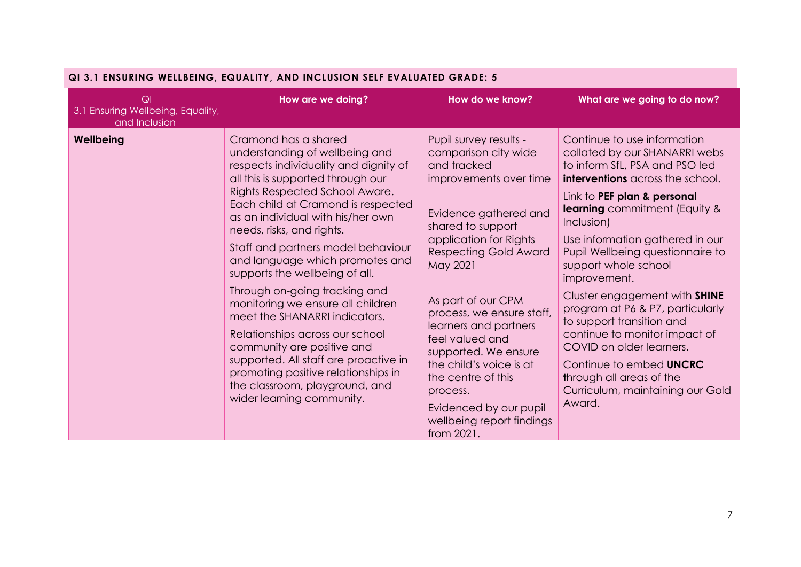| QI<br>3.1 Ensuring Wellbeing, Equality,<br>and Inclusion | How are we doing?                     | How do we know?              | What are we going to do now?         |
|----------------------------------------------------------|---------------------------------------|------------------------------|--------------------------------------|
| Wellbeing                                                | Cramond has a shared                  | Pupil survey results -       | Continue to use information          |
|                                                          | understanding of wellbeing and        | comparison city wide         | collated by our SHANARRI webs        |
|                                                          | respects individuality and dignity of | and tracked                  | to inform SfL, PSA and PSO led       |
|                                                          | all this is supported through our     | improvements over time       | interventions across the school.     |
|                                                          | Rights Respected School Aware.        | Evidence gathered and        | Link to PEF plan & personal          |
|                                                          | Each child at Cramond is respected    | shared to support            | <b>learning</b> commitment (Equity & |
|                                                          | as an individual with his/her own     | application for Rights       | Inclusion)                           |
|                                                          | needs, risks, and rights.             | <b>Respecting Gold Award</b> | Use information gathered in our      |
|                                                          | Staff and partners model behaviour    | May 2021                     | Pupil Wellbeing questionnaire to     |
|                                                          | and language which promotes and       | As part of our CPM           | support whole school                 |
|                                                          | supports the wellbeing of all.        | process, we ensure staff,    | improvement.                         |
|                                                          | Through on-going tracking and         | learners and partners        | Cluster engagement with SHINE        |
|                                                          | monitoring we ensure all children     | feel valued and              | program at P6 & P7, particularly     |
|                                                          | meet the SHANARRI indicators.         | supported. We ensure         | to support transition and            |
|                                                          | Relationships across our school       | the child's voice is at      | continue to monitor impact of        |
|                                                          | community are positive and            | the centre of this           | COVID on older learners.             |
|                                                          | supported. All staff are proactive in | process.                     | Continue to embed <b>UNCRC</b>       |
|                                                          | promoting positive relationships in   | Evidenced by our pupil       | through all areas of the             |
|                                                          | the classroom, playground, and        | wellbeing report findings    | Curriculum, maintaining our Gold     |
|                                                          | wider learning community.             | from 2021.                   | Award.                               |

## **QI 3.1 ENSURING WELLBEING, EQUALITY, AND INCLUSION SELF EVALUATED GRADE: 5**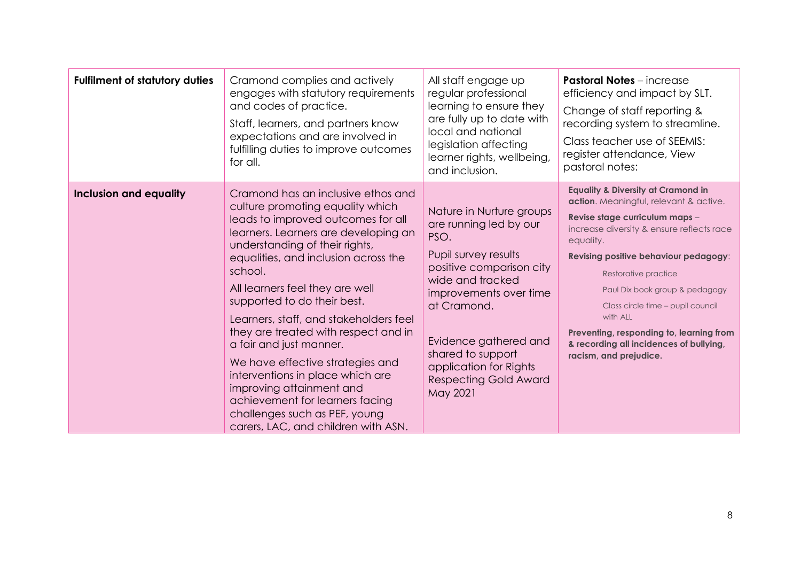| <b>Fulfilment of statutory duties</b> | Cramond complies and actively<br>engages with statutory requirements<br>and codes of practice.<br>Staff, learners, and partners know<br>expectations and are involved in<br>fulfilling duties to improve outcomes<br>for all.                                                                                                                                                                                                                                                                                                                                                                                                           | All staff engage up<br>regular professional<br>learning to ensure they<br>are fully up to date with<br>local and national<br>legislation affecting<br>learner rights, wellbeing,<br>and inclusion.                                                                                              | <b>Pastoral Notes</b> - increase<br>efficiency and impact by SLT.<br>Change of staff reporting &<br>recording system to streamline.<br>Class teacher use of SEEMIS:<br>register attendance, View<br>pastoral notes:                                                                                                                                                                                                                                      |
|---------------------------------------|-----------------------------------------------------------------------------------------------------------------------------------------------------------------------------------------------------------------------------------------------------------------------------------------------------------------------------------------------------------------------------------------------------------------------------------------------------------------------------------------------------------------------------------------------------------------------------------------------------------------------------------------|-------------------------------------------------------------------------------------------------------------------------------------------------------------------------------------------------------------------------------------------------------------------------------------------------|----------------------------------------------------------------------------------------------------------------------------------------------------------------------------------------------------------------------------------------------------------------------------------------------------------------------------------------------------------------------------------------------------------------------------------------------------------|
| <b>Inclusion and equality</b>         | Cramond has an inclusive ethos and<br>culture promoting equality which<br>leads to improved outcomes for all<br>learners. Learners are developing an<br>understanding of their rights,<br>equalities, and inclusion across the<br>school.<br>All learners feel they are well<br>supported to do their best.<br>Learners, staff, and stakeholders feel<br>they are treated with respect and in<br>a fair and just manner.<br>We have effective strategies and<br>interventions in place which are<br>improving attainment and<br>achievement for learners facing<br>challenges such as PEF, young<br>carers, LAC, and children with ASN. | Nature in Nurture groups<br>are running led by our<br>PSO.<br>Pupil survey results<br>positive comparison city<br>wide and tracked<br>improvements over time<br>at Cramond.<br>Evidence gathered and<br>shared to support<br>application for Rights<br><b>Respecting Gold Award</b><br>May 2021 | <b>Equality &amp; Diversity at Cramond in</b><br>action. Meaningful, relevant & active.<br>Revise stage curriculum maps -<br>increase diversity & ensure reflects race<br>equality.<br>Revising positive behaviour pedagogy:<br>Restorative practice<br>Paul Dix book group & pedagogy<br>Class circle time - pupil council<br>with ALL<br>Preventing, responding to, learning from<br>& recording all incidences of bullying,<br>racism, and prejudice. |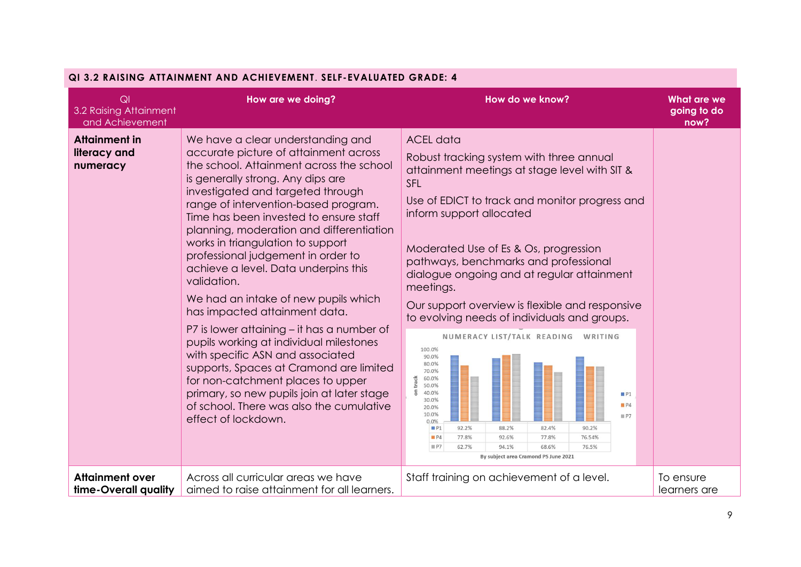| QI 3.2 RAISING ATTAINMENT AND ACHIEVEMENT. SELF-EVALUATED GRADE: 4 |                                                                                                                                                                                                                                                                                                                                                                                                                                                                                                                                                                                                                                                                                                                                                                                                                                                                         |                                                                                                                                                                                                                                                                                                                                                                                                                                                                                                                                                                                                                                                                                                                                                                                                                                  |                                           |  |  |
|--------------------------------------------------------------------|-------------------------------------------------------------------------------------------------------------------------------------------------------------------------------------------------------------------------------------------------------------------------------------------------------------------------------------------------------------------------------------------------------------------------------------------------------------------------------------------------------------------------------------------------------------------------------------------------------------------------------------------------------------------------------------------------------------------------------------------------------------------------------------------------------------------------------------------------------------------------|----------------------------------------------------------------------------------------------------------------------------------------------------------------------------------------------------------------------------------------------------------------------------------------------------------------------------------------------------------------------------------------------------------------------------------------------------------------------------------------------------------------------------------------------------------------------------------------------------------------------------------------------------------------------------------------------------------------------------------------------------------------------------------------------------------------------------------|-------------------------------------------|--|--|
| Q <sub>l</sub><br>3.2 Raising Attainment<br>and Achievement        | How are we doing?                                                                                                                                                                                                                                                                                                                                                                                                                                                                                                                                                                                                                                                                                                                                                                                                                                                       | How do we know?                                                                                                                                                                                                                                                                                                                                                                                                                                                                                                                                                                                                                                                                                                                                                                                                                  | <b>What are we</b><br>going to do<br>now? |  |  |
| <b>Attainment in</b><br>literacy and<br>numeracy                   | We have a clear understanding and<br>accurate picture of attainment across<br>the school. Attainment across the school<br>is generally strong. Any dips are<br>investigated and targeted through<br>range of intervention-based program.<br>Time has been invested to ensure staff<br>planning, moderation and differentiation<br>works in triangulation to support<br>professional judgement in order to<br>achieve a level. Data underpins this<br>validation.<br>We had an intake of new pupils which<br>has impacted attainment data.<br>P7 is lower attaining – it has a number of<br>pupils working at individual milestones<br>with specific ASN and associated<br>supports, Spaces at Cramond are limited<br>for non-catchment places to upper<br>primary, so new pupils join at later stage<br>of school. There was also the cumulative<br>effect of lockdown. | <b>ACEL data</b><br>Robust tracking system with three annual<br>attainment meetings at stage level with SIT &<br><b>SFL</b><br>Use of EDICT to track and monitor progress and<br>inform support allocated<br>Moderated Use of Es & Os, progression<br>pathways, benchmarks and professional<br>dialogue ongoing and at regular attainment<br>meetings.<br>Our support overview is flexible and responsive<br>to evolving needs of individuals and groups.<br>NUMERACY LIST/TALK READING WRITING<br>100.0%<br>90.0%<br>80.0%<br>70.0%<br>track<br>60.0%<br>50.0%<br>$5\overline{a}$<br>40.0%<br>P1<br>30.0%<br>P4<br>20.0%<br>10.0%<br>$\equiv$ P7<br>0.0%<br>92.2%<br>88.2%<br>82.4%<br>90.2%<br>P1<br>77.8%<br>77.8%<br>92.6%<br>76.54%<br>P4<br>68.6%<br>P7<br>62.7%<br>94.1%<br>76.5%<br>By subject area Cramond PS June 2021 |                                           |  |  |
| <b>Attainment over</b><br>time-Overall quality                     | Across all curricular areas we have<br>aimed to raise attainment for all learners.                                                                                                                                                                                                                                                                                                                                                                                                                                                                                                                                                                                                                                                                                                                                                                                      | Staff training on achievement of a level.                                                                                                                                                                                                                                                                                                                                                                                                                                                                                                                                                                                                                                                                                                                                                                                        | To ensure<br>learners are                 |  |  |

#### **QI 3.2 RAISING ATTAINMENT AND ACHIEVEMENT**. **SELF-EVALUATED GRADE: 4**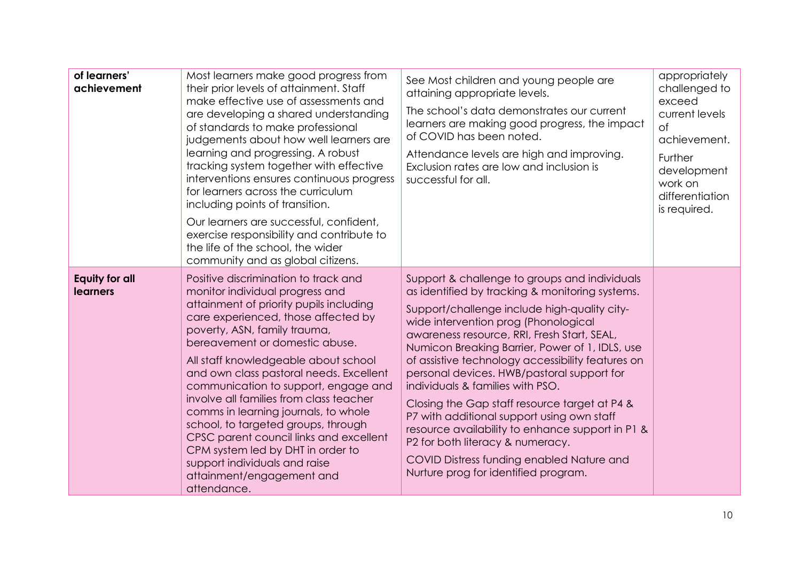| of learners'<br>achievement              | Most learners make good progress from<br>their prior levels of attainment. Staff<br>make effective use of assessments and<br>are developing a shared understanding<br>of standards to make professional<br>judgements about how well learners are<br>learning and progressing. A robust<br>tracking system together with effective<br>interventions ensures continuous progress<br>for learners across the curriculum<br>including points of transition.<br>Our learners are successful, confident,<br>exercise responsibility and contribute to<br>the life of the school, the wider<br>community and as global citizens.                    | See Most children and young people are<br>attaining appropriate levels.<br>The school's data demonstrates our current<br>learners are making good progress, the impact<br>of COVID has been noted.<br>Attendance levels are high and improving.<br>Exclusion rates are low and inclusion is<br>successful for all.                                                                                                                                                                                                                                                                                                                                                                                            | appropriately<br>challenged to<br>exceed<br>current levels<br>$\circ$ f<br>achievement.<br>Further<br>development<br>work on<br>differentiation<br>is required. |
|------------------------------------------|-----------------------------------------------------------------------------------------------------------------------------------------------------------------------------------------------------------------------------------------------------------------------------------------------------------------------------------------------------------------------------------------------------------------------------------------------------------------------------------------------------------------------------------------------------------------------------------------------------------------------------------------------|---------------------------------------------------------------------------------------------------------------------------------------------------------------------------------------------------------------------------------------------------------------------------------------------------------------------------------------------------------------------------------------------------------------------------------------------------------------------------------------------------------------------------------------------------------------------------------------------------------------------------------------------------------------------------------------------------------------|-----------------------------------------------------------------------------------------------------------------------------------------------------------------|
| <b>Equity for all</b><br><b>learners</b> | Positive discrimination to track and<br>monitor individual progress and<br>attainment of priority pupils including<br>care experienced, those affected by<br>poverty, ASN, family trauma,<br>bereavement or domestic abuse.<br>All staff knowledgeable about school<br>and own class pastoral needs. Excellent<br>communication to support, engage and<br>involve all families from class teacher<br>comms in learning journals, to whole<br>school, to targeted groups, through<br>CPSC parent council links and excellent<br>CPM system led by DHT in order to<br>support individuals and raise<br>attainment/engagement and<br>attendance. | Support & challenge to groups and individuals<br>as identified by tracking & monitoring systems.<br>Support/challenge include high-quality city-<br>wide intervention prog (Phonological<br>awareness resource, RRI, Fresh Start, SEAL,<br>Numicon Breaking Barrier, Power of 1, IDLS, use<br>of assistive technology accessibility features on<br>personal devices. HWB/pastoral support for<br>individuals & families with PSO.<br>Closing the Gap staff resource target at P4 &<br>P7 with additional support using own staff<br>resource availability to enhance support in P1 &<br>P2 for both literacy & numeracy.<br>COVID Distress funding enabled Nature and<br>Nurture prog for identified program. |                                                                                                                                                                 |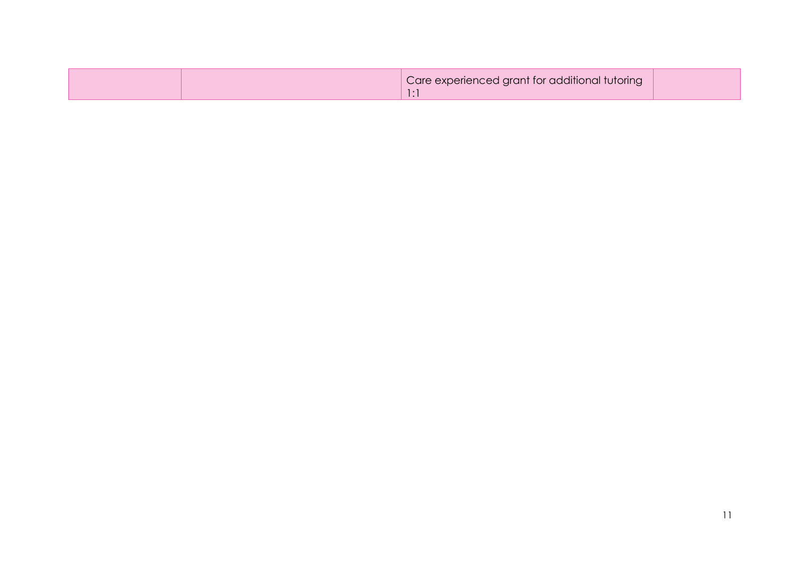| Care experienced grant for additional tutoring |  |
|------------------------------------------------|--|
|------------------------------------------------|--|